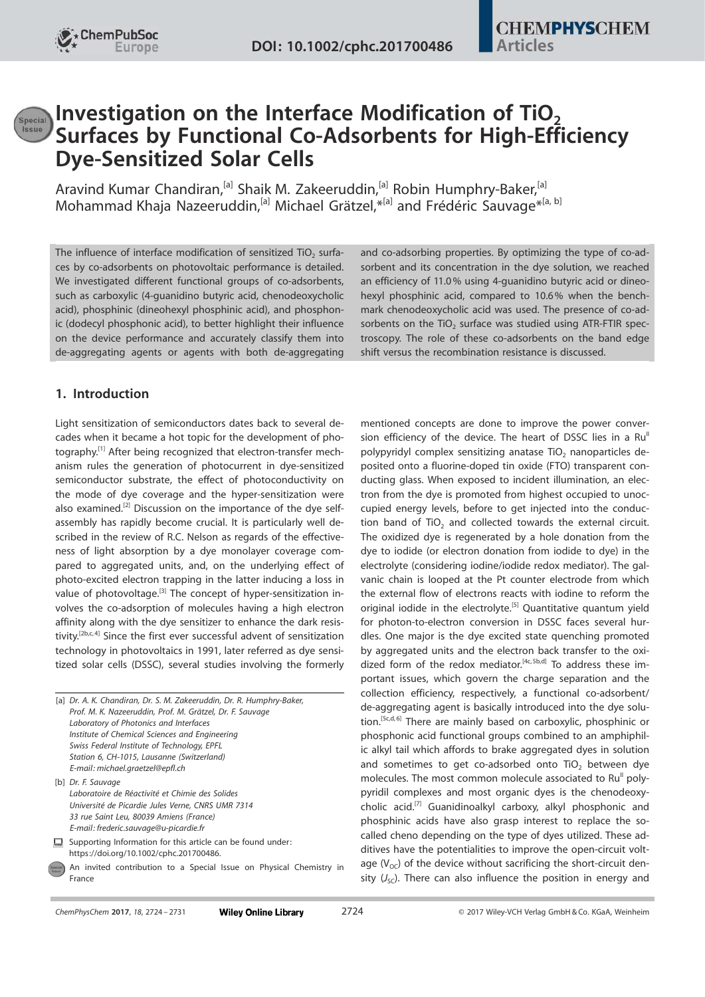# **Investigation on the Interface Modification of TiO<sub>2</sub>** Surfaces by Functional Co-Adsorbents for High-Efficiency Dye-Sensitized Solar Cells

Aravind Kumar Chandiran,<sup>[a]</sup> Shaik M. Zakeeruddin,<sup>[a]</sup> Robin Humphry-Baker,<sup>[a]</sup> Mohammad Khaja Nazeeruddin,<sup>[a]</sup> Michael Grätzel,\*<sup>[a]</sup> and Frédéric Sauvage<sup>\*[a, b]</sup>

The influence of interface modification of sensitized TiO<sub>2</sub> surfaces by co-adsorbents on photovoltaic performance is detailed. We investigated different functional groups of co-adsorbents, such as carboxylic (4-guanidino butyric acid, chenodeoxycholic acid), phosphinic (dineohexyl phosphinic acid), and phosphonic (dodecyl phosphonic acid), to better highlight their influence on the device performance and accurately classify them into de-aggregating agents or agents with both de-aggregating

## 1. Introduction

Light sensitization of semiconductors dates back to several decades when it became a hot topic for the development of photography.[1] After being recognized that electron-transfer mechanism rules the generation of photocurrent in dye-sensitized semiconductor substrate, the effect of photoconductivity on the mode of dye coverage and the hyper-sensitization were also examined.<sup>[2]</sup> Discussion on the importance of the dye selfassembly has rapidly become crucial. It is particularly well described in the review of R.C. Nelson as regards of the effectiveness of light absorption by a dye monolayer coverage compared to aggregated units, and, on the underlying effect of photo-excited electron trapping in the latter inducing a loss in value of photovoltage.<sup>[3]</sup> The concept of hyper-sensitization involves the co-adsorption of molecules having a high electron affinity along with the dye sensitizer to enhance the dark resistivity.[2b,c, 4] Since the first ever successful advent of sensitization technology in photovoltaics in 1991, later referred as dye sensitized solar cells (DSSC), several studies involving the formerly

|        | [a] Dr. A. K. Chandiran, Dr. S. M. Zakeeruddin, Dr. R. Humphry-Baker,<br>Prof. M. K. Nazeeruddin, Prof. M. Grätzel, Dr. F. Sauvage<br>Laboratory of Photonics and Interfaces<br>Institute of Chemical Sciences and Engineering<br>Swiss Federal Institute of Technology, EPFL<br>Station 6, CH-1015, Lausanne (Switzerland)<br>E-mail: michael.graetzel@epfl.ch |
|--------|-----------------------------------------------------------------------------------------------------------------------------------------------------------------------------------------------------------------------------------------------------------------------------------------------------------------------------------------------------------------|
|        | [b] Dr. F. Sauvage<br>Laboratoire de Réactivité et Chimie des Solides<br>Université de Picardie Jules Verne, CNRS UMR 7314<br>33 rue Saint Leu, 80039 Amiens (France)<br>E-mail: frederic.sauvage@u-picardie.fr                                                                                                                                                 |
| ┡      | Supporting Information for this article can be found under:<br>https://doi.org/10.1002/cphc.201700486.                                                                                                                                                                                                                                                          |
| pecial | An invited contribution to a Special Issue on Physical Chemistry in<br>France                                                                                                                                                                                                                                                                                   |

and co-adsorbing properties. By optimizing the type of co-adsorbent and its concentration in the dye solution, we reached an efficiency of 11.0% using 4-guanidino butyric acid or dineohexyl phosphinic acid, compared to 10.6% when the benchmark chenodeoxycholic acid was used. The presence of co-adsorbents on the  $TiO<sub>2</sub>$  surface was studied using ATR-FTIR spectroscopy. The role of these co-adsorbents on the band edge shift versus the recombination resistance is discussed.

mentioned concepts are done to improve the power conversion efficiency of the device. The heart of DSSC lies in a Ru<sup>II</sup> polypyridyl complex sensitizing anatase  $TiO<sub>2</sub>$  nanoparticles deposited onto a fluorine-doped tin oxide (FTO) transparent conducting glass. When exposed to incident illumination, an electron from the dye is promoted from highest occupied to unoccupied energy levels, before to get injected into the conduction band of  $TiO<sub>2</sub>$  and collected towards the external circuit. The oxidized dye is regenerated by a hole donation from the dye to iodide (or electron donation from iodide to dye) in the electrolyte (considering iodine/iodide redox mediator). The galvanic chain is looped at the Pt counter electrode from which the external flow of electrons reacts with iodine to reform the original iodide in the electrolyte.<sup>[5]</sup> Quantitative quantum yield for photon-to-electron conversion in DSSC faces several hurdles. One major is the dye excited state quenching promoted by aggregated units and the electron back transfer to the oxidized form of the redox mediator.<sup>[4c, 5b,d]</sup> To address these important issues, which govern the charge separation and the collection efficiency, respectively, a functional co-adsorbent/ de-aggregating agent is basically introduced into the dye solution.<sup>[5c,d, 6]</sup> There are mainly based on carboxylic, phosphinic or phosphonic acid functional groups combined to an amphiphilic alkyl tail which affords to brake aggregated dyes in solution and sometimes to get co-adsorbed onto  $TiO<sub>2</sub>$  between dye molecules. The most common molecule associated to Ru<sup>II</sup> polypyridil complexes and most organic dyes is the chenodeoxycholic acid.[7] Guanidinoalkyl carboxy, alkyl phosphonic and phosphinic acids have also grasp interest to replace the socalled cheno depending on the type of dyes utilized. These additives have the potentialities to improve the open-circuit voltage  $(V<sub>oc</sub>)$  of the device without sacrificing the short-circuit density  $(J_{\text{SC}})$ . There can also influence the position in energy and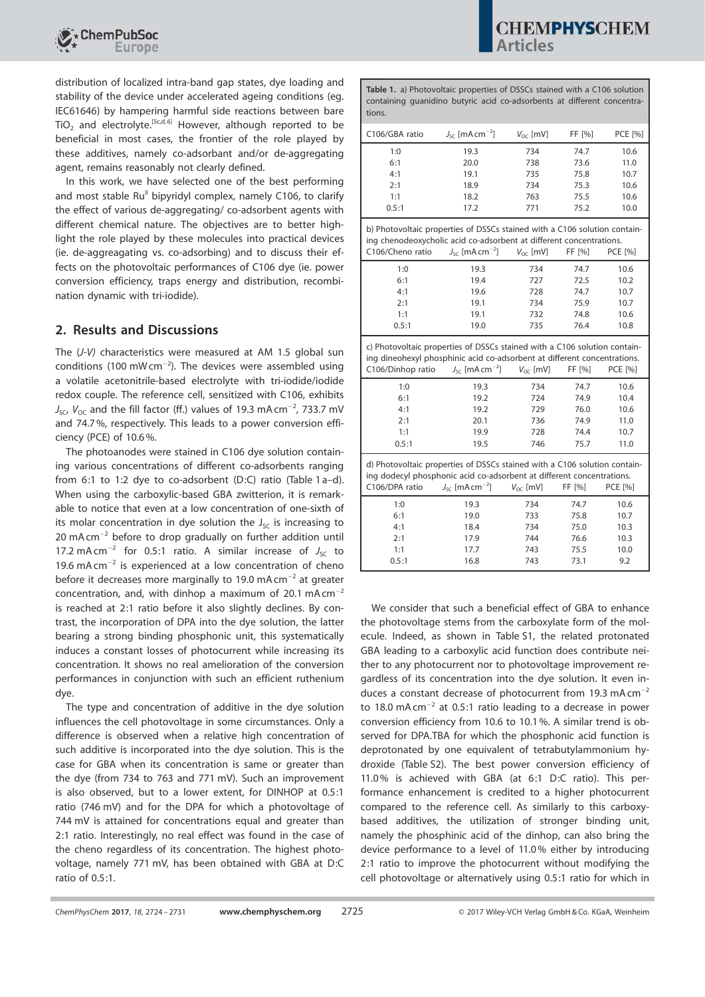

distribution of localized intra-band gap states, dye loading and stability of the device under accelerated ageing conditions (eg. IEC61646) by hampering harmful side reactions between bare TiO<sub>2</sub> and electrolyte.<sup>[5c,d, 6]</sup> However, although reported to be beneficial in most cases, the frontier of the role played by these additives, namely co-adsorbant and/or de-aggregating agent, remains reasonably not clearly defined.

In this work, we have selected one of the best performing and most stable  $Ru^{\parallel}$  bipyridyl complex, namely C106, to clarify the effect of various de-aggregating/ co-adsorbent agents with different chemical nature. The objectives are to better highlight the role played by these molecules into practical devices (ie. de-aggreagating vs. co-adsorbing) and to discuss their effects on the photovoltaic performances of C106 dye (ie. power conversion efficiency, traps energy and distribution, recombination dynamic with tri-iodide).

## 2. Results and Discussions

The (*J*-*V)* characteristics were measured at AM 1.5 global sun conditions (100 mW cm $^{-2}$ ). The devices were assembled using a volatile acetonitrile-based electrolyte with tri-iodide/iodide redox couple. The reference cell, sensitized with C106, exhibits  $J_{\rm SC}$ ,  $V_{\rm OC}$  and the fill factor (ff.) values of 19.3 mA cm<sup>-2</sup>, 733.7 mV and 74.7 %, respectively. This leads to a power conversion efficiency (PCE) of 10.6 %.

The photoanodes were stained in C106 dye solution containing various concentrations of different co-adsorbents ranging from 6:1 to 1:2 dye to co-adsorbent (D:C) ratio (Table 1 a–d). When using the carboxylic-based GBA zwitterion, it is remarkable to notice that even at a low concentration of one-sixth of its molar concentration in dye solution the  $J_{SC}$  is increasing to  $20$  mA cm<sup>-2</sup> before to drop gradually on further addition until 17.2 mA cm<sup>-2</sup> for 0.5:1 ratio. A similar increase of  $J_{SC}$  to 19.6 mA $cm^{-2}$  is experienced at a low concentration of cheno before it decreases more marginally to 19.0 mA cm<sup>-2</sup> at greater concentration, and, with dinhop a maximum of 20.1 mA  $cm^{-2}$ is reached at 2:1 ratio before it also slightly declines. By contrast, the incorporation of DPA into the dye solution, the latter bearing a strong binding phosphonic unit, this systematically induces a constant losses of photocurrent while increasing its concentration. It shows no real amelioration of the conversion performances in conjunction with such an efficient ruthenium dye.

The type and concentration of additive in the dye solution influences the cell photovoltage in some circumstances. Only a difference is observed when a relative high concentration of such additive is incorporated into the dye solution. This is the case for GBA when its concentration is same or greater than the dye (from 734 to 763 and 771 mV). Such an improvement is also observed, but to a lower extent, for DINHOP at 0.5:1 ratio (746 mV) and for the DPA for which a photovoltage of 744 mV is attained for concentrations equal and greater than 2:1 ratio. Interestingly, no real effect was found in the case of the cheno regardless of its concentration. The highest photovoltage, namely 771 mV, has been obtained with GBA at D:C ratio of 0.5:1.

Table 1. a) Photovoltaic properties of DSSCs stained with a C106 solution containing guanidino butyric acid co-adsorbents at different concentrations.

| 1:0<br>19.3<br>74.7<br>10.6<br>734<br>6:1<br>20.0<br>738<br>73.6<br>11.0<br>4:1<br>19.1<br>735<br>75.8<br>10.7<br>2:1<br>18.9<br>734<br>75.3<br>10.6<br>1:1<br>18.2<br>763<br>75.5<br>10.6<br>0.5:1<br>17.2<br>771<br>75.2<br>10.0<br>b) Photovoltaic properties of DSSCs stained with a C106 solution contain-<br>ing chenodeoxycholic acid co-adsorbent at different concentrations.<br>C106/Cheno ratio<br>$J_{\rm sc}$ [mA cm <sup>-2</sup> ]<br>$V_{\alpha c}$ [mV]<br>FF [%]<br><b>PCE [%]</b><br>1:0<br>19.3<br>734<br>74.7<br>10.6<br>6:1<br>19.4<br>727<br>72.5<br>10.2<br>74.7<br>4:1<br>19.6<br>728<br>10.7<br>10.7<br>2:1<br>19.1<br>734<br>75.9<br>1:1<br>19.1<br>732<br>74.8<br>10.6<br>0.5:1<br>735<br>76.4<br>19.0<br>10.8<br>c) Photovoltaic properties of DSSCs stained with a C106 solution contain-<br>ing dineohexyl phosphinic acid co-adsorbent at different concentrations.<br>C106/Dinhop ratio<br>$J_{\rm sc}$ [mA cm <sup>-2</sup> ]<br>$V_{OC}$ [mV]<br>FF [%]<br><b>PCE [%]</b><br>1:0<br>19.3<br>734<br>74.7<br>10.6<br>6:1<br>19.2<br>74.9<br>10.4<br>724<br>4:1<br>19.2<br>729<br>76.0<br>10.6<br>2:1<br>20.1<br>736<br>74.9<br>11.0<br>1:1<br>19.9<br>728<br>74.4<br>10.7<br>0.5:1<br>19.5<br>746<br>75.7<br>11.0<br>d) Photovoltaic properties of DSSCs stained with a C106 solution contain-<br>ing dodecyl phosphonic acid co-adsorbent at different concentrations.<br>$J_{SC}$ [mA cm <sup>-2</sup> ]<br>C106/DPA ratio<br><b>PCE [%]</b><br>$V_{\text{OC}}$ [mV]<br>FF [%]<br>1:0<br>19.3<br>10.6<br>734<br>74.7 | C106/GBA ratio | $J_{\rm sc}$ [mA cm <sup>-2</sup> ] | $V_{\text{OC}}$ [mV] | FF [%] | <b>PCE [%]</b> |  |  |
|---------------------------------------------------------------------------------------------------------------------------------------------------------------------------------------------------------------------------------------------------------------------------------------------------------------------------------------------------------------------------------------------------------------------------------------------------------------------------------------------------------------------------------------------------------------------------------------------------------------------------------------------------------------------------------------------------------------------------------------------------------------------------------------------------------------------------------------------------------------------------------------------------------------------------------------------------------------------------------------------------------------------------------------------------------------------------------------------------------------------------------------------------------------------------------------------------------------------------------------------------------------------------------------------------------------------------------------------------------------------------------------------------------------------------------------------------------------------------------------------------------------------------------------------------------|----------------|-------------------------------------|----------------------|--------|----------------|--|--|
|                                                                                                                                                                                                                                                                                                                                                                                                                                                                                                                                                                                                                                                                                                                                                                                                                                                                                                                                                                                                                                                                                                                                                                                                                                                                                                                                                                                                                                                                                                                                                         |                |                                     |                      |        |                |  |  |
|                                                                                                                                                                                                                                                                                                                                                                                                                                                                                                                                                                                                                                                                                                                                                                                                                                                                                                                                                                                                                                                                                                                                                                                                                                                                                                                                                                                                                                                                                                                                                         |                |                                     |                      |        |                |  |  |
|                                                                                                                                                                                                                                                                                                                                                                                                                                                                                                                                                                                                                                                                                                                                                                                                                                                                                                                                                                                                                                                                                                                                                                                                                                                                                                                                                                                                                                                                                                                                                         |                |                                     |                      |        |                |  |  |
|                                                                                                                                                                                                                                                                                                                                                                                                                                                                                                                                                                                                                                                                                                                                                                                                                                                                                                                                                                                                                                                                                                                                                                                                                                                                                                                                                                                                                                                                                                                                                         |                |                                     |                      |        |                |  |  |
|                                                                                                                                                                                                                                                                                                                                                                                                                                                                                                                                                                                                                                                                                                                                                                                                                                                                                                                                                                                                                                                                                                                                                                                                                                                                                                                                                                                                                                                                                                                                                         |                |                                     |                      |        |                |  |  |
|                                                                                                                                                                                                                                                                                                                                                                                                                                                                                                                                                                                                                                                                                                                                                                                                                                                                                                                                                                                                                                                                                                                                                                                                                                                                                                                                                                                                                                                                                                                                                         |                |                                     |                      |        |                |  |  |
|                                                                                                                                                                                                                                                                                                                                                                                                                                                                                                                                                                                                                                                                                                                                                                                                                                                                                                                                                                                                                                                                                                                                                                                                                                                                                                                                                                                                                                                                                                                                                         |                |                                     |                      |        |                |  |  |
|                                                                                                                                                                                                                                                                                                                                                                                                                                                                                                                                                                                                                                                                                                                                                                                                                                                                                                                                                                                                                                                                                                                                                                                                                                                                                                                                                                                                                                                                                                                                                         |                |                                     |                      |        |                |  |  |
|                                                                                                                                                                                                                                                                                                                                                                                                                                                                                                                                                                                                                                                                                                                                                                                                                                                                                                                                                                                                                                                                                                                                                                                                                                                                                                                                                                                                                                                                                                                                                         |                |                                     |                      |        |                |  |  |
|                                                                                                                                                                                                                                                                                                                                                                                                                                                                                                                                                                                                                                                                                                                                                                                                                                                                                                                                                                                                                                                                                                                                                                                                                                                                                                                                                                                                                                                                                                                                                         |                |                                     |                      |        |                |  |  |
|                                                                                                                                                                                                                                                                                                                                                                                                                                                                                                                                                                                                                                                                                                                                                                                                                                                                                                                                                                                                                                                                                                                                                                                                                                                                                                                                                                                                                                                                                                                                                         |                |                                     |                      |        |                |  |  |
|                                                                                                                                                                                                                                                                                                                                                                                                                                                                                                                                                                                                                                                                                                                                                                                                                                                                                                                                                                                                                                                                                                                                                                                                                                                                                                                                                                                                                                                                                                                                                         |                |                                     |                      |        |                |  |  |
|                                                                                                                                                                                                                                                                                                                                                                                                                                                                                                                                                                                                                                                                                                                                                                                                                                                                                                                                                                                                                                                                                                                                                                                                                                                                                                                                                                                                                                                                                                                                                         |                |                                     |                      |        |                |  |  |
|                                                                                                                                                                                                                                                                                                                                                                                                                                                                                                                                                                                                                                                                                                                                                                                                                                                                                                                                                                                                                                                                                                                                                                                                                                                                                                                                                                                                                                                                                                                                                         |                |                                     |                      |        |                |  |  |
|                                                                                                                                                                                                                                                                                                                                                                                                                                                                                                                                                                                                                                                                                                                                                                                                                                                                                                                                                                                                                                                                                                                                                                                                                                                                                                                                                                                                                                                                                                                                                         |                |                                     |                      |        |                |  |  |
|                                                                                                                                                                                                                                                                                                                                                                                                                                                                                                                                                                                                                                                                                                                                                                                                                                                                                                                                                                                                                                                                                                                                                                                                                                                                                                                                                                                                                                                                                                                                                         |                |                                     |                      |        |                |  |  |
|                                                                                                                                                                                                                                                                                                                                                                                                                                                                                                                                                                                                                                                                                                                                                                                                                                                                                                                                                                                                                                                                                                                                                                                                                                                                                                                                                                                                                                                                                                                                                         |                |                                     |                      |        |                |  |  |
|                                                                                                                                                                                                                                                                                                                                                                                                                                                                                                                                                                                                                                                                                                                                                                                                                                                                                                                                                                                                                                                                                                                                                                                                                                                                                                                                                                                                                                                                                                                                                         |                |                                     |                      |        |                |  |  |
|                                                                                                                                                                                                                                                                                                                                                                                                                                                                                                                                                                                                                                                                                                                                                                                                                                                                                                                                                                                                                                                                                                                                                                                                                                                                                                                                                                                                                                                                                                                                                         |                |                                     |                      |        |                |  |  |
|                                                                                                                                                                                                                                                                                                                                                                                                                                                                                                                                                                                                                                                                                                                                                                                                                                                                                                                                                                                                                                                                                                                                                                                                                                                                                                                                                                                                                                                                                                                                                         |                |                                     |                      |        |                |  |  |
|                                                                                                                                                                                                                                                                                                                                                                                                                                                                                                                                                                                                                                                                                                                                                                                                                                                                                                                                                                                                                                                                                                                                                                                                                                                                                                                                                                                                                                                                                                                                                         |                |                                     |                      |        |                |  |  |
|                                                                                                                                                                                                                                                                                                                                                                                                                                                                                                                                                                                                                                                                                                                                                                                                                                                                                                                                                                                                                                                                                                                                                                                                                                                                                                                                                                                                                                                                                                                                                         |                |                                     |                      |        |                |  |  |
| 6:1<br>19.0<br>733<br>75.8<br>10.7                                                                                                                                                                                                                                                                                                                                                                                                                                                                                                                                                                                                                                                                                                                                                                                                                                                                                                                                                                                                                                                                                                                                                                                                                                                                                                                                                                                                                                                                                                                      |                |                                     |                      |        |                |  |  |
| 4:1<br>18.4<br>734<br>75.0<br>10.3                                                                                                                                                                                                                                                                                                                                                                                                                                                                                                                                                                                                                                                                                                                                                                                                                                                                                                                                                                                                                                                                                                                                                                                                                                                                                                                                                                                                                                                                                                                      |                |                                     |                      |        |                |  |  |
| 2:1<br>17.9<br>744<br>76.6<br>10.3                                                                                                                                                                                                                                                                                                                                                                                                                                                                                                                                                                                                                                                                                                                                                                                                                                                                                                                                                                                                                                                                                                                                                                                                                                                                                                                                                                                                                                                                                                                      |                |                                     |                      |        |                |  |  |
| 17.7<br>1:1<br>743<br>75.5<br>10.0                                                                                                                                                                                                                                                                                                                                                                                                                                                                                                                                                                                                                                                                                                                                                                                                                                                                                                                                                                                                                                                                                                                                                                                                                                                                                                                                                                                                                                                                                                                      |                |                                     |                      |        |                |  |  |
| 0.5:1<br>16.8<br>9.2<br>743<br>73.1                                                                                                                                                                                                                                                                                                                                                                                                                                                                                                                                                                                                                                                                                                                                                                                                                                                                                                                                                                                                                                                                                                                                                                                                                                                                                                                                                                                                                                                                                                                     |                |                                     |                      |        |                |  |  |

We consider that such a beneficial effect of GBA to enhance the photovoltage stems from the carboxylate form of the molecule. Indeed, as shown in Table S1, the related protonated GBA leading to a carboxylic acid function does contribute neither to any photocurrent nor to photovoltage improvement regardless of its concentration into the dye solution. It even induces a constant decrease of photocurrent from 19.3 mA cm<sup>-2</sup> to 18.0 mA cm $^{-2}$  at 0.5:1 ratio leading to a decrease in power conversion efficiency from 10.6 to 10.1%. A similar trend is observed for DPA.TBA for which the phosphonic acid function is deprotonated by one equivalent of tetrabutylammonium hydroxide (Table S2). The best power conversion efficiency of 11.0% is achieved with GBA (at 6:1 D:C ratio). This performance enhancement is credited to a higher photocurrent compared to the reference cell. As similarly to this carboxybased additives, the utilization of stronger binding unit, namely the phosphinic acid of the dinhop, can also bring the device performance to a level of 11.0% either by introducing 2:1 ratio to improve the photocurrent without modifying the cell photovoltage or alternatively using 0.5:1 ratio for which in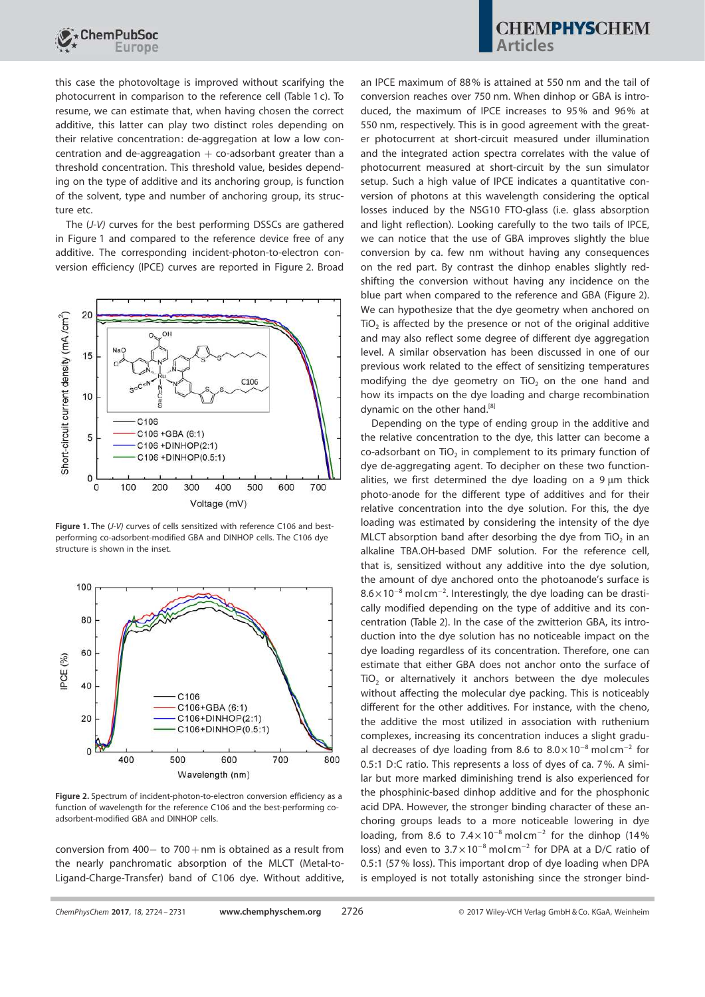

this case the photovoltage is improved without scarifying the photocurrent in comparison to the reference cell (Table 1 c). To resume, we can estimate that, when having chosen the correct additive, this latter can play two distinct roles depending on their relative concentration: de-aggregation at low a low concentration and de-aggreagation  $+$  co-adsorbant greater than a threshold concentration. This threshold value, besides depending on the type of additive and its anchoring group, is function of the solvent, type and number of anchoring group, its structure etc.

The (*J*-*V)* curves for the best performing DSSCs are gathered in Figure 1 and compared to the reference device free of any additive. The corresponding incident-photon-to-electron conversion efficiency (IPCE) curves are reported in Figure 2. Broad



Figure 1. The (*J*-*V)* curves of cells sensitized with reference C106 and bestperforming co-adsorbent-modified GBA and DINHOP cells. The C106 dye structure is shown in the inset.



Figure 2. Spectrum of incident-photon-to-electron conversion efficiency as a function of wavelength for the reference C106 and the best-performing coadsorbent-modified GBA and DINHOP cells.

conversion from  $400 -$  to  $700 +$ nm is obtained as a result from the nearly panchromatic absorption of the MLCT (Metal-to-Ligand-Charge-Transfer) band of C106 dye. Without additive, an IPCE maximum of 88% is attained at 550 nm and the tail of conversion reaches over 750 nm. When dinhop or GBA is introduced, the maximum of IPCE increases to 95% and 96% at 550 nm, respectively. This is in good agreement with the greater photocurrent at short-circuit measured under illumination and the integrated action spectra correlates with the value of photocurrent measured at short-circuit by the sun simulator setup. Such a high value of IPCE indicates a quantitative conversion of photons at this wavelength considering the optical losses induced by the NSG10 FTO-glass (i.e. glass absorption and light reflection). Looking carefully to the two tails of IPCE, we can notice that the use of GBA improves slightly the blue conversion by ca. few nm without having any consequences on the red part. By contrast the dinhop enables slightly redshifting the conversion without having any incidence on the blue part when compared to the reference and GBA (Figure 2). We can hypothesize that the dye geometry when anchored on  $TiO<sub>2</sub>$  is affected by the presence or not of the original additive and may also reflect some degree of different dye aggregation level. A similar observation has been discussed in one of our previous work related to the effect of sensitizing temperatures modifying the dye geometry on  $TiO<sub>2</sub>$  on the one hand and how its impacts on the dye loading and charge recombination dynamic on the other hand.<sup>[8]</sup>

Depending on the type of ending group in the additive and the relative concentration to the dye, this latter can become a  $co$ -adsorbant on TiO<sub>2</sub> in complement to its primary function of dye de-aggregating agent. To decipher on these two functionalities, we first determined the dye loading on a  $9 \mu m$  thick photo-anode for the different type of additives and for their relative concentration into the dye solution. For this, the dye loading was estimated by considering the intensity of the dye MLCT absorption band after desorbing the dye from  $TiO<sub>2</sub>$  in an alkaline TBA.OH-based DMF solution. For the reference cell, that is, sensitized without any additive into the dye solution, the amount of dye anchored onto the photoanode's surface is  $8.6 \times 10^{-8}$  mol cm<sup>-2</sup>. Interestingly, the dye loading can be drastically modified depending on the type of additive and its concentration (Table 2). In the case of the zwitterion GBA, its introduction into the dye solution has no noticeable impact on the dye loading regardless of its concentration. Therefore, one can estimate that either GBA does not anchor onto the surface of  $TiO<sub>2</sub>$  or alternatively it anchors between the dye molecules without affecting the molecular dye packing. This is noticeably different for the other additives. For instance, with the cheno, the additive the most utilized in association with ruthenium complexes, increasing its concentration induces a slight gradual decreases of dye loading from 8.6 to  $8.0 \times 10^{-8}$  mol cm<sup>-2</sup> for 0.5:1 D:C ratio. This represents a loss of dyes of ca. 7%. A similar but more marked diminishing trend is also experienced for the phosphinic-based dinhop additive and for the phosphonic acid DPA. However, the stronger binding character of these anchoring groups leads to a more noticeable lowering in dye loading, from 8.6 to  $7.4 \times 10^{-8}$  mol cm<sup>-2</sup> for the dinhop (14% loss) and even to  $3.7 \times 10^{-8}$  mol cm<sup>-2</sup> for DPA at a D/C ratio of 0.5:1 (57% loss). This important drop of dye loading when DPA is employed is not totally astonishing since the stronger bind-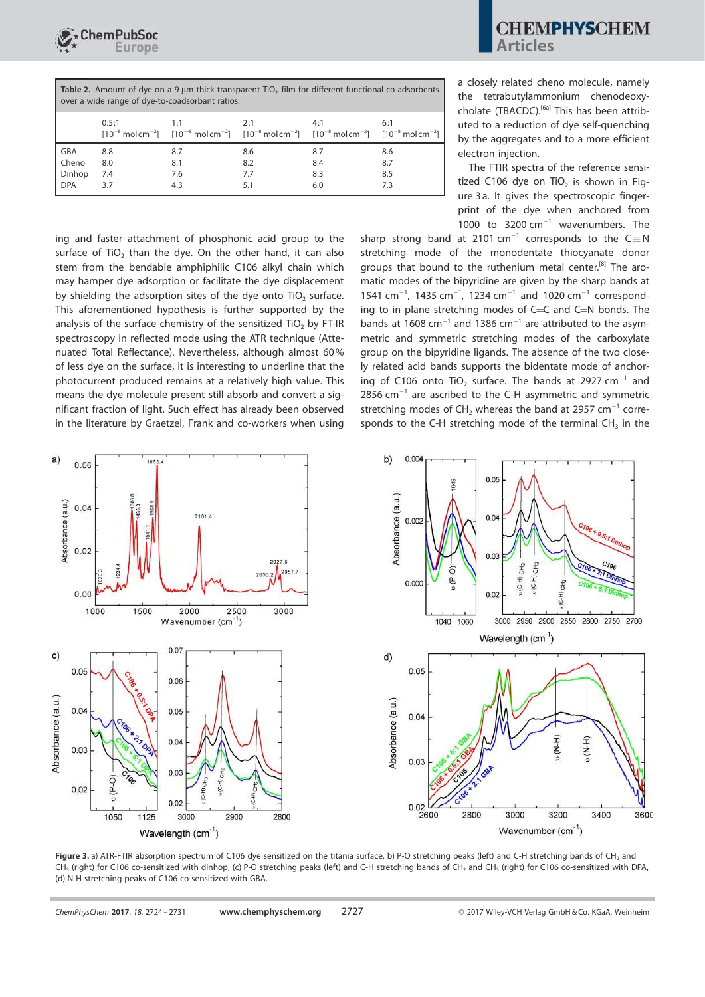

| <b>Table 2.</b> Amount of dye on a 9 µm thick transparent TiO <sub>2</sub> film for different functional co-adsorbents<br>over a wide range of dye-to-coadsorbant ratios. |       |                                                                                                                                                                            |     |     |     |  |
|---------------------------------------------------------------------------------------------------------------------------------------------------------------------------|-------|----------------------------------------------------------------------------------------------------------------------------------------------------------------------------|-----|-----|-----|--|
|                                                                                                                                                                           | 0.5:1 | $1 - 1$<br>$[10^{-8} \text{ mol cm}^{-2}]$ $[10^{-8} \text{ mol cm}^{-2}]$ $[10^{-8} \text{ mol cm}^{-2}]$ $[10^{-8} \text{ mol cm}^{-2}]$ $[10^{-8} \text{ mol cm}^{-2}]$ | 2.1 | 4·1 | 6:1 |  |

|              |     |     | [10 MORTH ] [10 MORTH ] [10 MORTH ] [10 MORTH ] [10 MORTH ] ] |     |     |
|--------------|-----|-----|---------------------------------------------------------------|-----|-----|
| GBA          | 8.8 | 8.7 | 8.6                                                           | 8.7 | 8.6 |
| <b>Cheno</b> | 8.0 | 8.1 | 8.2                                                           | 8.4 | 8.7 |
| Dinhop       | 7.4 | 7.6 | 7.7                                                           | 8.3 | 8.5 |
| DPA          | 3.7 | 4.3 |                                                               | 6.0 |     |
|              |     |     |                                                               |     |     |

ing and faster attachment of phosphonic acid group to the surface of  $TiO<sub>2</sub>$  than the dye. On the other hand, it can also stem from the bendable amphiphilic C106 alkyl chain which may hamper dye adsorption or facilitate the dye displacement by shielding the adsorption sites of the dye onto  $TiO<sub>2</sub>$  surface. This aforementioned hypothesis is further supported by the analysis of the surface chemistry of the sensitized TiO<sub>2</sub> by FT-IR spectroscopy in reflected mode using the ATR technique (Attenuated Total Reflectance). Nevertheless, although almost 60% of less dye on the surface, it is interesting to underline that the photocurrent produced remains at a relatively high value. This means the dye molecule present still absorb and convert a significant fraction of light. Such effect has already been observed in the literature by Graetzel, Frank and co-workers when using

a closely related cheno molecule, namely the tetrabutylammonium chenodeoxycholate (TBACDC).<sup>[6a]</sup> This has been attributed to a reduction of dye self-quenching by the aggregates and to a more efficient electron injection.

The FTIR spectra of the reference sensitized C106 dye on  $TiO<sub>2</sub>$  is shown in Figure 3 a. It gives the spectroscopic fingerprint of the dye when anchored from 1000 to  $3200 \text{ cm}^{-1}$  wavenumbers. The

sharp strong band at 2101 cm<sup>-1</sup> corresponds to the  $C \equiv N$ stretching mode of the monodentate thiocyanate donor groups that bound to the ruthenium metal center.<sup>[8]</sup> The aromatic modes of the bipyridine are given by the sharp bands at 1541 cm<sup>-1</sup>, 1435 cm<sup>-1</sup>, 1234 cm<sup>-1</sup> and 1020 cm<sup>-1</sup> corresponding to in plane stretching modes of  $C=C$  and  $C=N$  bonds. The bands at 1608  $cm^{-1}$  and 1386  $cm^{-1}$  are attributed to the asymmetric and symmetric stretching modes of the carboxylate group on the bipyridine ligands. The absence of the two closely related acid bands supports the bidentate mode of anchoring of C106 onto TiO<sub>2</sub> surface. The bands at 2927  $cm^{-1}$  and  $2856$  cm $^{-1}$  are ascribed to the C-H asymmetric and symmetric stretching modes of  $CH_2$  whereas the band at 2957 cm<sup>-1</sup> corresponds to the C-H stretching mode of the terminal  $CH<sub>3</sub>$  in the





Figure 3. a) ATR-FTIR absorption spectrum of C106 dye sensitized on the titania surface. b) P-O stretching peaks (left) and C-H stretching bands of CH<sub>2</sub> and CH<sub>3</sub> (right) for C106 co-sensitized with dinhop, (c) P-O stretching peaks (left) and C-H stretching bands of CH<sub>2</sub> and CH<sub>3</sub> (right) for C106 co-sensitized with DPA, (d) N-H stretching peaks of C106 co-sensitized with GBA.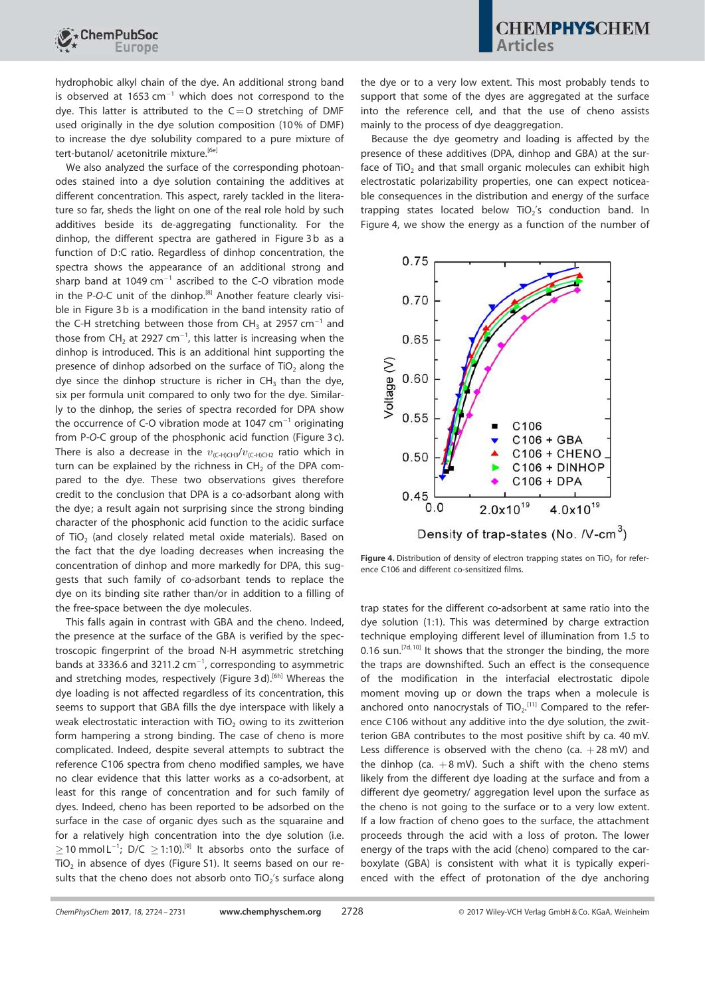hydrophobic alkyl chain of the dye. An additional strong band is observed at 1653  $cm^{-1}$  which does not correspond to the dye. This latter is attributed to the  $C=O$  stretching of DMF used originally in the dye solution composition (10% of DMF) to increase the dye solubility compared to a pure mixture of tert-butanol/ acetonitrile mixture.<sup>[6e]</sup>

ChemPubSoc

We also analyzed the surface of the corresponding photoanodes stained into a dye solution containing the additives at different concentration. This aspect, rarely tackled in the literature so far, sheds the light on one of the real role hold by such additives beside its de-aggregating functionality. For the dinhop, the different spectra are gathered in Figure 3b as a function of D:C ratio. Regardless of dinhop concentration, the spectra shows the appearance of an additional strong and sharp band at 1049  $cm^{-1}$  ascribed to the C-O vibration mode in the P-O-C unit of the dinhop.<sup>[8]</sup> Another feature clearly visible in Figure 3 b is a modification in the band intensity ratio of the C-H stretching between those from CH<sub>3</sub> at 2957  $cm^{-1}$  and those from  $CH_2$  at 2927 cm<sup>-1</sup>, this latter is increasing when the dinhop is introduced. This is an additional hint supporting the presence of dinhop adsorbed on the surface of  $TiO<sub>2</sub>$  along the dye since the dinhop structure is richer in  $CH<sub>3</sub>$  than the dye, six per formula unit compared to only two for the dye. Similarly to the dinhop, the series of spectra recorded for DPA show the occurrence of C-O vibration mode at 1047  $cm^{-1}$  originating from P-*O*-C group of the phosphonic acid function (Figure 3 c). There is also a decrease in the  $v_{\text{IC-H)CH3}}/v_{\text{IC-H}2}$  ratio which in turn can be explained by the richness in  $CH<sub>2</sub>$  of the DPA compared to the dye. These two observations gives therefore credit to the conclusion that DPA is a co-adsorbant along with the dye; a result again not surprising since the strong binding character of the phosphonic acid function to the acidic surface of TiO<sub>2</sub> (and closely related metal oxide materials). Based on the fact that the dye loading decreases when increasing the concentration of dinhop and more markedly for DPA, this suggests that such family of co-adsorbant tends to replace the dye on its binding site rather than/or in addition to a filling of the free-space between the dye molecules.

This falls again in contrast with GBA and the cheno. Indeed, the presence at the surface of the GBA is verified by the spectroscopic fingerprint of the broad N-H asymmetric stretching bands at 3336.6 and 3211.2  $cm^{-1}$ , corresponding to asymmetric and stretching modes, respectively (Figure 3d).<sup>[6h]</sup> Whereas the dye loading is not affected regardless of its concentration, this seems to support that GBA fills the dye interspace with likely a weak electrostatic interaction with  $TiO<sub>2</sub>$  owing to its zwitterion form hampering a strong binding. The case of cheno is more complicated. Indeed, despite several attempts to subtract the reference C106 spectra from cheno modified samples, we have no clear evidence that this latter works as a co-adsorbent, at least for this range of concentration and for such family of dyes. Indeed, cheno has been reported to be adsorbed on the surface in the case of organic dyes such as the squaraine and for a relatively high concentration into the dye solution (i.e.  $\geq$  10 mmol L<sup>-1</sup>; D/C  $\geq$  1:10).<sup>[9]</sup> It absorbs onto the surface of TiO $_2$  in absence of dyes (Figure S1). It seems based on our results that the cheno does not absorb onto  $TiO<sub>2</sub>'s$  surface along

the dye or to a very low extent. This most probably tends to support that some of the dyes are aggregated at the surface into the reference cell, and that the use of cheno assists mainly to the process of dye deaggregation.

Because the dye geometry and loading is affected by the presence of these additives (DPA, dinhop and GBA) at the surface of  $TiO<sub>2</sub>$  and that small organic molecules can exhibit high electrostatic polarizability properties, one can expect noticeable consequences in the distribution and energy of the surface trapping states located below TiO<sub>2</sub>'s conduction band. In Figure 4, we show the energy as a function of the number of



**Figure 4.** Distribution of density of electron trapping states on TiO<sub>2</sub> for reference C106 and different co-sensitized films.

trap states for the different co-adsorbent at same ratio into the dye solution (1:1). This was determined by charge extraction technique employing different level of illumination from 1.5 to 0.16 sun.<sup>[7d, 10]</sup> It shows that the stronger the binding, the more the traps are downshifted. Such an effect is the consequence of the modification in the interfacial electrostatic dipole moment moving up or down the traps when a molecule is anchored onto nanocrystals of  $TiO<sub>2</sub>$ <sup>[11]</sup> Compared to the reference C106 without any additive into the dye solution, the zwitterion GBA contributes to the most positive shift by ca. 40 mV. Less difference is observed with the cheno (ca.  $+28$  mV) and the dinhop (ca.  $+8$  mV). Such a shift with the cheno stems likely from the different dye loading at the surface and from a different dye geometry/ aggregation level upon the surface as the cheno is not going to the surface or to a very low extent. If a low fraction of cheno goes to the surface, the attachment proceeds through the acid with a loss of proton. The lower energy of the traps with the acid (cheno) compared to the carboxylate (GBA) is consistent with what it is typically experienced with the effect of protonation of the dye anchoring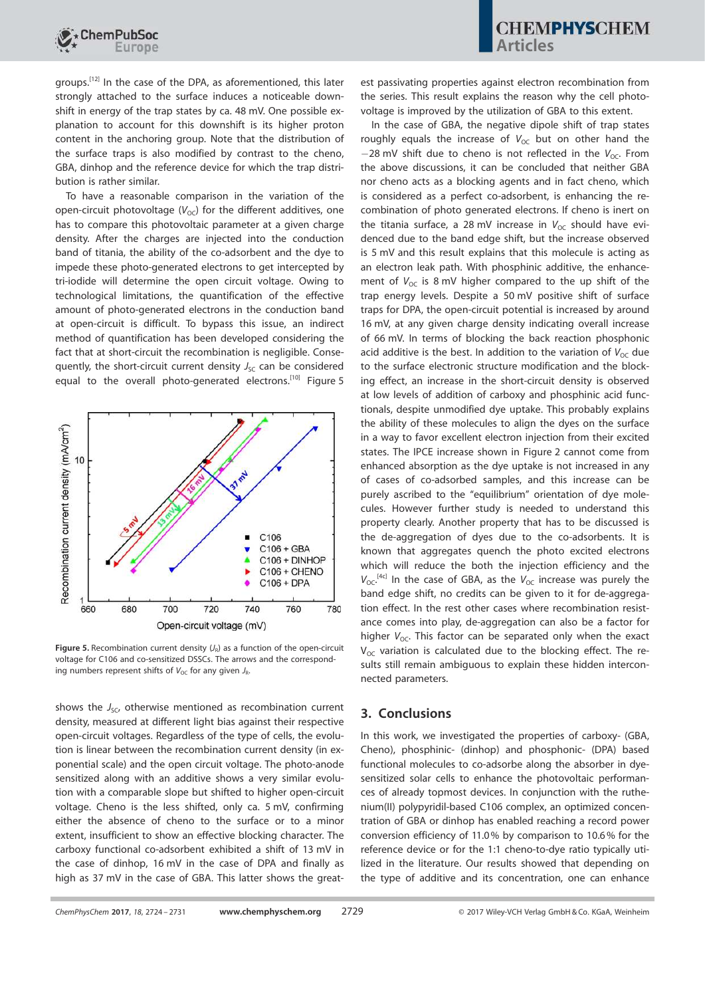

groups.<sup>[12]</sup> In the case of the DPA, as aforementioned, this later strongly attached to the surface induces a noticeable downshift in energy of the trap states by ca. 48 mV. One possible explanation to account for this downshift is its higher proton content in the anchoring group. Note that the distribution of the surface traps is also modified by contrast to the cheno, GBA, dinhop and the reference device for which the trap distribution is rather similar.

To have a reasonable comparison in the variation of the open-circuit photovoltage  $(V_{OC})$  for the different additives, one has to compare this photovoltaic parameter at a given charge density. After the charges are injected into the conduction band of titania, the ability of the co-adsorbent and the dye to impede these photo-generated electrons to get intercepted by tri-iodide will determine the open circuit voltage. Owing to technological limitations, the quantification of the effective amount of photo-generated electrons in the conduction band at open-circuit is difficult. To bypass this issue, an indirect method of quantification has been developed considering the fact that at short-circuit the recombination is negligible. Consequently, the short-circuit current density  $J_{SC}$  can be considered equal to the overall photo-generated electrons.[10] Figure 5



**Figure 5.** Recombination current density  $(J_R)$  as a function of the open-circuit voltage for C106 and co-sensitized DSSCs. The arrows and the corresponding numbers represent shifts of  $V_{\text{OC}}$  for any given  $J_{\text{R}}$ .

shows the *J<sub>SC</sub>*, otherwise mentioned as recombination current density, measured at different light bias against their respective open-circuit voltages. Regardless of the type of cells, the evolution is linear between the recombination current density (in exponential scale) and the open circuit voltage. The photo-anode sensitized along with an additive shows a very similar evolution with a comparable slope but shifted to higher open-circuit voltage. Cheno is the less shifted, only ca. 5 mV, confirming either the absence of cheno to the surface or to a minor extent, insufficient to show an effective blocking character. The carboxy functional co-adsorbent exhibited a shift of 13 mV in the case of dinhop, 16 mV in the case of DPA and finally as high as 37 mV in the case of GBA. This latter shows the great-

est passivating properties against electron recombination from the series. This result explains the reason why the cell photovoltage is improved by the utilization of GBA to this extent.

In the case of GBA, the negative dipole shift of trap states roughly equals the increase of  $V_{OC}$  but on other hand the  $-28$  mV shift due to cheno is not reflected in the  $V_{\text{OC}}$ . From the above discussions, it can be concluded that neither GBA nor cheno acts as a blocking agents and in fact cheno, which is considered as a perfect co-adsorbent, is enhancing the recombination of photo generated electrons. If cheno is inert on the titania surface, a 28 mV increase in  $V_{OC}$  should have evidenced due to the band edge shift, but the increase observed is 5 mV and this result explains that this molecule is acting as an electron leak path. With phosphinic additive, the enhancement of  $V_{\text{OC}}$  is 8 mV higher compared to the up shift of the trap energy levels. Despite a 50 mV positive shift of surface traps for DPA, the open-circuit potential is increased by around 16 mV, at any given charge density indicating overall increase of 66 mV. In terms of blocking the back reaction phosphonic acid additive is the best. In addition to the variation of  $V_{\text{OC}}$  due to the surface electronic structure modification and the blocking effect, an increase in the short-circuit density is observed at low levels of addition of carboxy and phosphinic acid functionals, despite unmodified dye uptake. This probably explains the ability of these molecules to align the dyes on the surface in a way to favor excellent electron injection from their excited states. The IPCE increase shown in Figure 2 cannot come from enhanced absorption as the dye uptake is not increased in any of cases of co-adsorbed samples, and this increase can be purely ascribed to the "equilibrium" orientation of dye molecules. However further study is needed to understand this property clearly. Another property that has to be discussed is the de-aggregation of dyes due to the co-adsorbents. It is known that aggregates quench the photo excited electrons which will reduce the both the injection efficiency and the  $V_{\text{OC}}$ <sup>[4c]</sup> In the case of GBA, as the  $V_{\text{OC}}$  increase was purely the band edge shift, no credits can be given to it for de-aggregation effect. In the rest other cases where recombination resistance comes into play, de-aggregation can also be a factor for higher *V*<sub>OC</sub>. This factor can be separated only when the exact  $V_{\text{OC}}$  variation is calculated due to the blocking effect. The results still remain ambiguous to explain these hidden interconnected parameters.

## 3. Conclusions

In this work, we investigated the properties of carboxy- (GBA, Cheno), phosphinic- (dinhop) and phosphonic- (DPA) based functional molecules to co-adsorbe along the absorber in dyesensitized solar cells to enhance the photovoltaic performances of already topmost devices. In conjunction with the ruthenium(II) polypyridil-based C106 complex, an optimized concentration of GBA or dinhop has enabled reaching a record power conversion efficiency of 11.0% by comparison to 10.6% for the reference device or for the 1:1 cheno-to-dye ratio typically utilized in the literature. Our results showed that depending on the type of additive and its concentration, one can enhance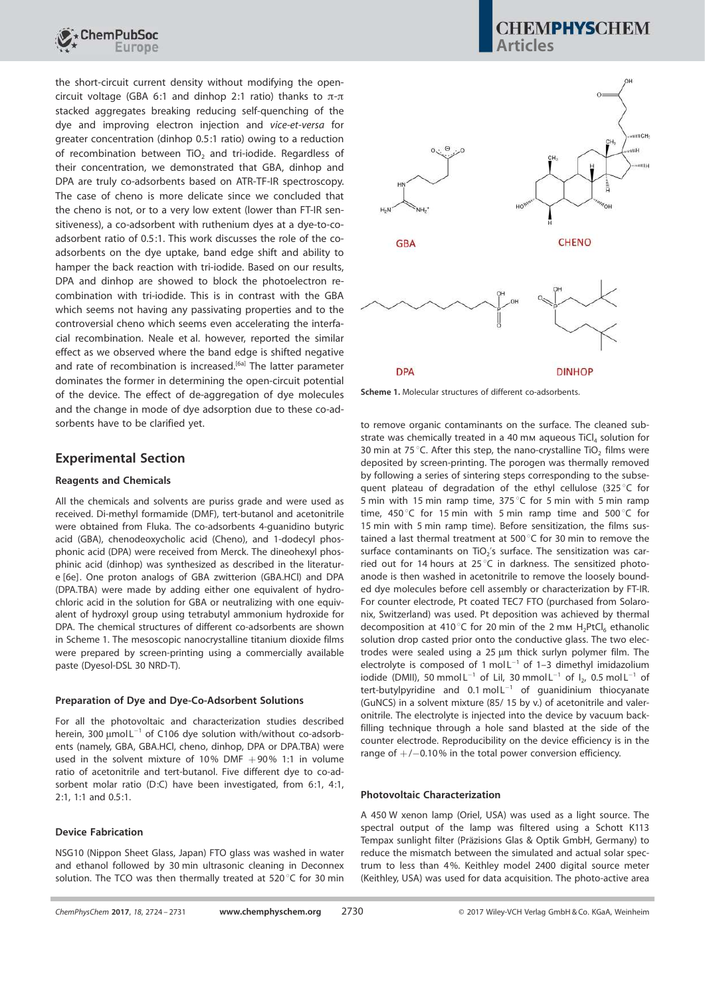

the short-circuit current density without modifying the opencircuit voltage (GBA 6:1 and dinhop 2:1 ratio) thanks to  $\pi$ - $\pi$ stacked aggregates breaking reducing self-quenching of the dye and improving electron injection and *vice-et-versa* for greater concentration (dinhop 0.5:1 ratio) owing to a reduction of recombination between  $TiO<sub>2</sub>$  and tri-iodide. Regardless of their concentration, we demonstrated that GBA, dinhop and DPA are truly co-adsorbents based on ATR-TF-IR spectroscopy. The case of cheno is more delicate since we concluded that the cheno is not, or to a very low extent (lower than FT-IR sensitiveness), a co-adsorbent with ruthenium dyes at a dye-to-coadsorbent ratio of 0.5:1. This work discusses the role of the coadsorbents on the dye uptake, band edge shift and ability to hamper the back reaction with tri-iodide. Based on our results, DPA and dinhop are showed to block the photoelectron recombination with tri-iodide. This is in contrast with the GBA which seems not having any passivating properties and to the controversial cheno which seems even accelerating the interfacial recombination. Neale et al. however, reported the similar effect as we observed where the band edge is shifted negative and rate of recombination is increased.<sup>[6a]</sup> The latter parameter dominates the former in determining the open-circuit potential of the device. The effect of de-aggregation of dye molecules and the change in mode of dye adsorption due to these co-adsorbents have to be clarified yet.

### Experimental Section

### Reagents and Chemicals

All the chemicals and solvents are puriss grade and were used as received. Di-methyl formamide (DMF), tert-butanol and acetonitrile were obtained from Fluka. The co-adsorbents 4-guanidino butyric acid (GBA), chenodeoxycholic acid (Cheno), and 1-dodecyl phosphonic acid (DPA) were received from Merck. The dineohexyl phosphinic acid (dinhop) was synthesized as described in the literature [6e]. One proton analogs of GBA zwitterion (GBA.HCl) and DPA (DPA.TBA) were made by adding either one equivalent of hydrochloric acid in the solution for GBA or neutralizing with one equivalent of hydroxyl group using tetrabutyl ammonium hydroxide for DPA. The chemical structures of different co-adsorbents are shown in Scheme 1. The mesoscopic nanocrystalline titanium dioxide films were prepared by screen-printing using a commercially available paste (Dyesol-DSL 30 NRD-T).

### Preparation of Dye and Dye-Co-Adsorbent Solutions

For all the photovoltaic and characterization studies described herein, 300  $\mu$ mol L<sup>-1</sup> of C106 dye solution with/without co-adsorbents (namely, GBA, GBA.HCl, cheno, dinhop, DPA or DPA.TBA) were used in the solvent mixture of 10% DMF  $+90\%$  1:1 in volume ratio of acetonitrile and tert-butanol. Five different dye to co-adsorbent molar ratio (D:C) have been investigated, from 6:1, 4:1, 2:1, 1:1 and 0.5:1.

### Device Fabrication

NSG10 (Nippon Sheet Glass, Japan) FTO glass was washed in water and ethanol followed by 30 min ultrasonic cleaning in Deconnex solution. The TCO was then thermally treated at  $520^{\circ}$ C for 30 min

## **CHEMPHYSCHEM** Articles



Scheme 1. Molecular structures of different co-adsorbents.

to remove organic contaminants on the surface. The cleaned substrate was chemically treated in a 40 mm aqueous  $TiCl<sub>4</sub>$  solution for 30 min at 75 °C. After this step, the nano-crystalline TiO<sub>2</sub> films were deposited by screen-printing. The porogen was thermally removed by following a series of sintering steps corresponding to the subsequent plateau of degradation of the ethyl cellulose (325 $\degree$ C for 5 min with 15 min ramp time,  $375^{\circ}$ C for 5 min with 5 min ramp time, 450 $\degree$ C for 15 min with 5 min ramp time and 500 $\degree$ C for 15 min with 5 min ramp time). Before sensitization, the films sustained a last thermal treatment at 500 $^{\circ}$ C for 30 min to remove the surface contaminants on  $TiO<sub>2</sub>'s$  surface. The sensitization was carried out for 14 hours at 25 $\degree$ C in darkness. The sensitized photoanode is then washed in acetonitrile to remove the loosely bounded dye molecules before cell assembly or characterization by FT-IR. For counter electrode, Pt coated TEC7 FTO (purchased from Solaronix, Switzerland) was used. Pt deposition was achieved by thermal decomposition at 410°C for 20 min of the 2 mm  $H_2PtCl_6$  ethanolic solution drop casted prior onto the conductive glass. The two electrodes were sealed using a 25 µm thick surlyn polymer film. The electrolyte is composed of 1 mol $L^{-1}$  of 1-3 dimethyl imidazolium iodide (DMII), 50 mmol L<sup>-1</sup> of LiI, 30 mmol L<sup>-1</sup> of I<sub>2</sub>, 0.5 mol L<sup>-1</sup> of tert-butylpyridine and  $0.1 \text{ mol L}^{-1}$  of quanidinium thiocyanate (GuNCS) in a solvent mixture (85/ 15 by v.) of acetonitrile and valeronitrile. The electrolyte is injected into the device by vacuum backfilling technique through a hole sand blasted at the side of the counter electrode. Reproducibility on the device efficiency is in the range of  $+/-0.10\%$  in the total power conversion efficiency.

### Photovoltaic Characterization

A 450 W xenon lamp (Oriel, USA) was used as a light source. The spectral output of the lamp was filtered using a Schott K113 Tempax sunlight filter (Präzisions Glas & Optik GmbH, Germany) to reduce the mismatch between the simulated and actual solar spectrum to less than 4%. Keithley model 2400 digital source meter (Keithley, USA) was used for data acquisition. The photo-active area